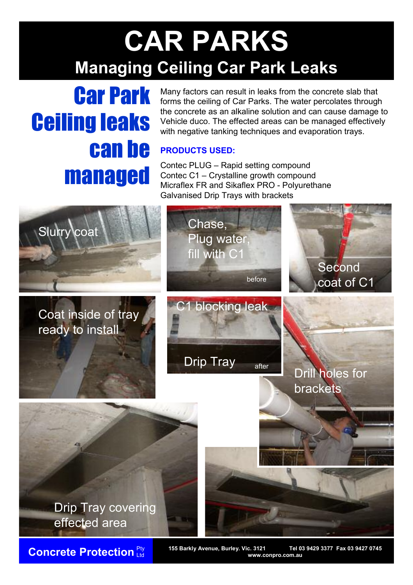## **CAR PARKS Managing Ceiling Car Park Leaks**

# Car Park Ceiling leaks can be managed

Many factors can result in leaks from the concrete slab that forms the ceiling of Car Parks. The water percolates through the concrete as an alkaline solution and can cause damage to Vehicle duco. The effected areas can be managed effectively with negative tanking techniques and evaporation trays.

### **PRODUCTS USED:**

Contec PLUG – Rapid setting compound Contec C1 – Crystalline growth compound Micraflex FR and Sikaflex PRO - Polyurethane Galvanised Drip Trays with brackets



Ltd

**Concrete Protection** Pty 155 Barkly Avenue, Burley. Vic. 3121 Tel 03 9429 3377 Fax 03 9427 0745